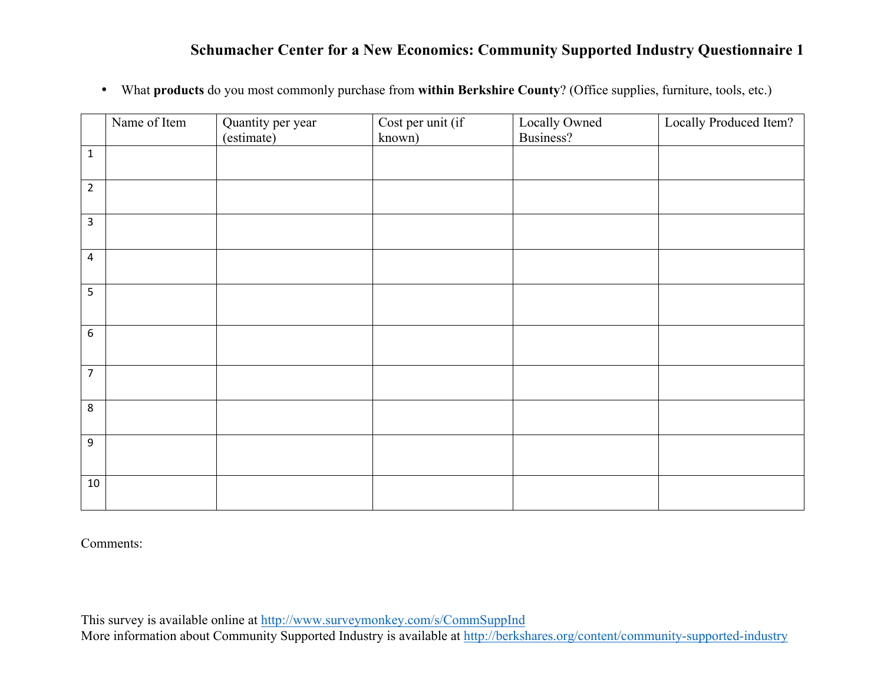• What **products** do you most commonly purchase from **within Berkshire County**? (Office supplies, furniture, tools, etc.)

|                | Name of Item | Quantity per year<br>(estimate) | Cost per unit (if<br>known) | Locally Owned<br>Business? | Locally Produced Item? |
|----------------|--------------|---------------------------------|-----------------------------|----------------------------|------------------------|
| $\mathbf 1$    |              |                                 |                             |                            |                        |
| $\overline{2}$ |              |                                 |                             |                            |                        |
| $\overline{3}$ |              |                                 |                             |                            |                        |
| $\overline{a}$ |              |                                 |                             |                            |                        |
| $\overline{5}$ |              |                                 |                             |                            |                        |
| $\sqrt{6}$     |              |                                 |                             |                            |                        |
| $\overline{7}$ |              |                                 |                             |                            |                        |
| $\,8\,$        |              |                                 |                             |                            |                        |
| $\overline{9}$ |              |                                 |                             |                            |                        |
| 10             |              |                                 |                             |                            |                        |

Comments: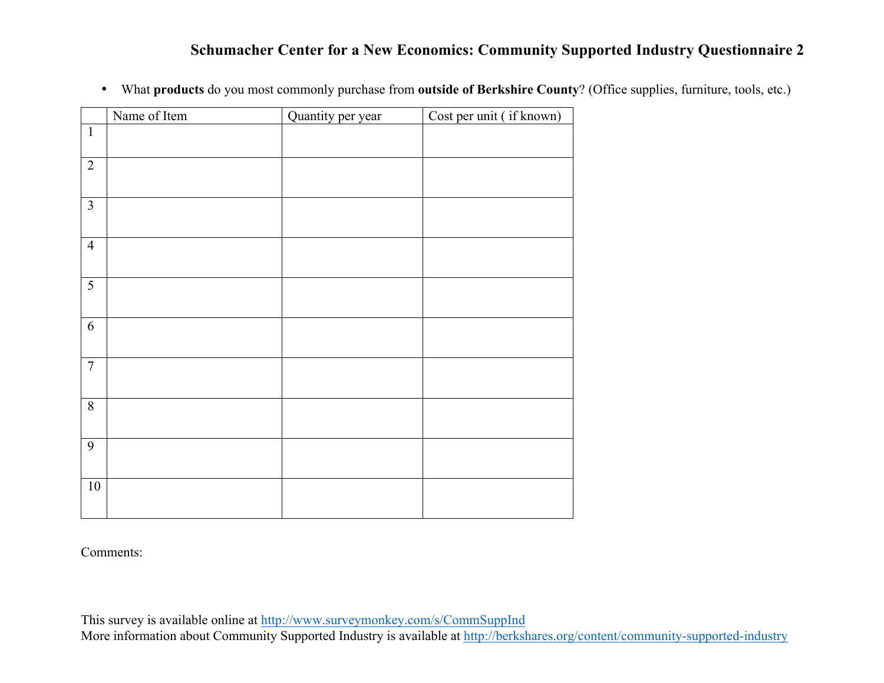|  |  |  |  |  | <sup>1</sup> What products do you most commonly purchase from outside of Berkshire County? (Office supplies, furniture, tools, etc.) |
|--|--|--|--|--|--------------------------------------------------------------------------------------------------------------------------------------|
|--|--|--|--|--|--------------------------------------------------------------------------------------------------------------------------------------|

|                         | Name of Item | Quantity per year | Cost per unit (if known) |
|-------------------------|--------------|-------------------|--------------------------|
| $\mathbf{1}$            |              |                   |                          |
| $\overline{2}$          |              |                   |                          |
| $\overline{\mathbf{3}}$ |              |                   |                          |
| $\overline{4}$          |              |                   |                          |
| $\overline{5}$          |              |                   |                          |
| $6\,$                   |              |                   |                          |
| $\overline{7}$          |              |                   |                          |
| $\overline{8}$          |              |                   |                          |
| 9                       |              |                   |                          |
| $10\,$                  |              |                   |                          |

Comments: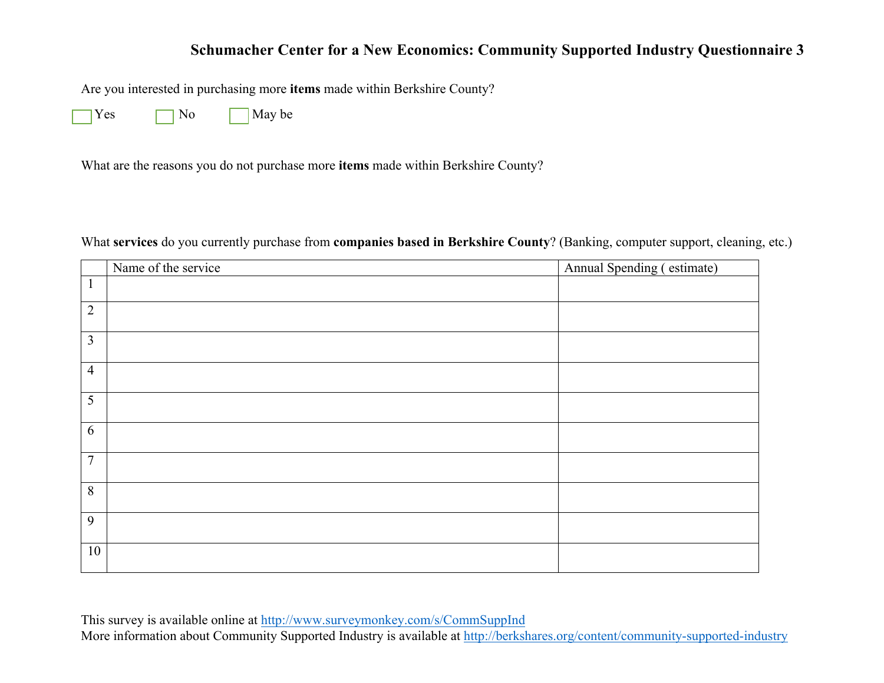Are you interested in purchasing more **items** made within Berkshire County?

 $Yes \frown No$  May be

What are the reasons you do not purchase more **items** made within Berkshire County?

What **services** do you currently purchase from **companies based in Berkshire County**? (Banking, computer support, cleaning, etc.)

|                | Name of the service | Annual Spending (estimate) |
|----------------|---------------------|----------------------------|
| $\mathbf{1}$   |                     |                            |
| $\overline{2}$ |                     |                            |
| 3              |                     |                            |
| $\overline{4}$ |                     |                            |
| 5              |                     |                            |
| 6              |                     |                            |
| $\overline{7}$ |                     |                            |
| 8              |                     |                            |
| 9              |                     |                            |
| 10             |                     |                            |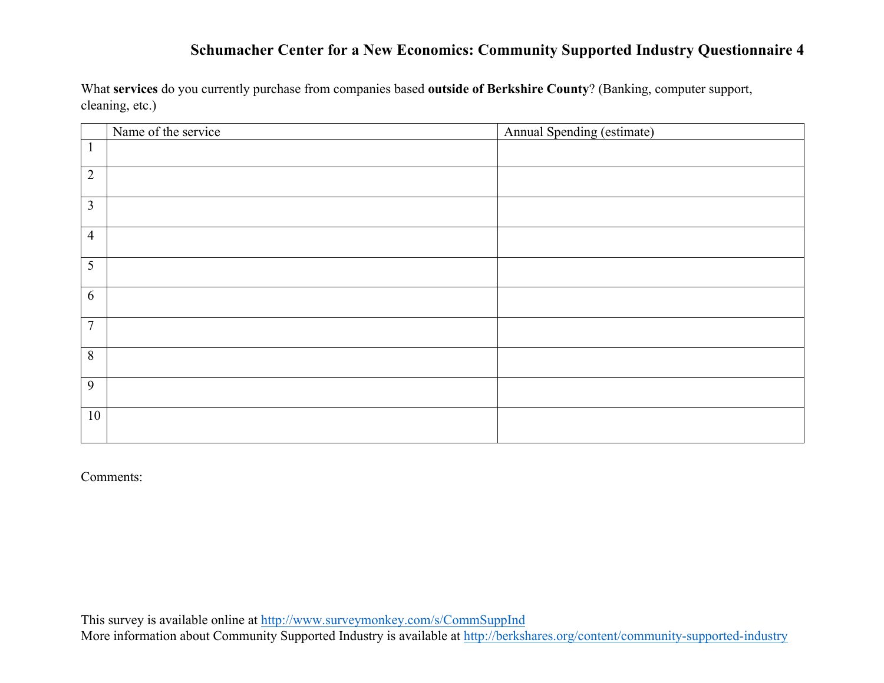What **services** do you currently purchase from companies based **outside of Berkshire County**? (Banking, computer support, cleaning, etc.)

|                | Name of the service | Annual Spending (estimate) |
|----------------|---------------------|----------------------------|
| $\mathbf{1}$   |                     |                            |
| $\overline{2}$ |                     |                            |
| $\overline{3}$ |                     |                            |
| $\overline{4}$ |                     |                            |
| $\overline{5}$ |                     |                            |
| $\overline{6}$ |                     |                            |
| $\overline{7}$ |                     |                            |
| $\overline{8}$ |                     |                            |
| $\overline{9}$ |                     |                            |
| $10\,$         |                     |                            |

Comments: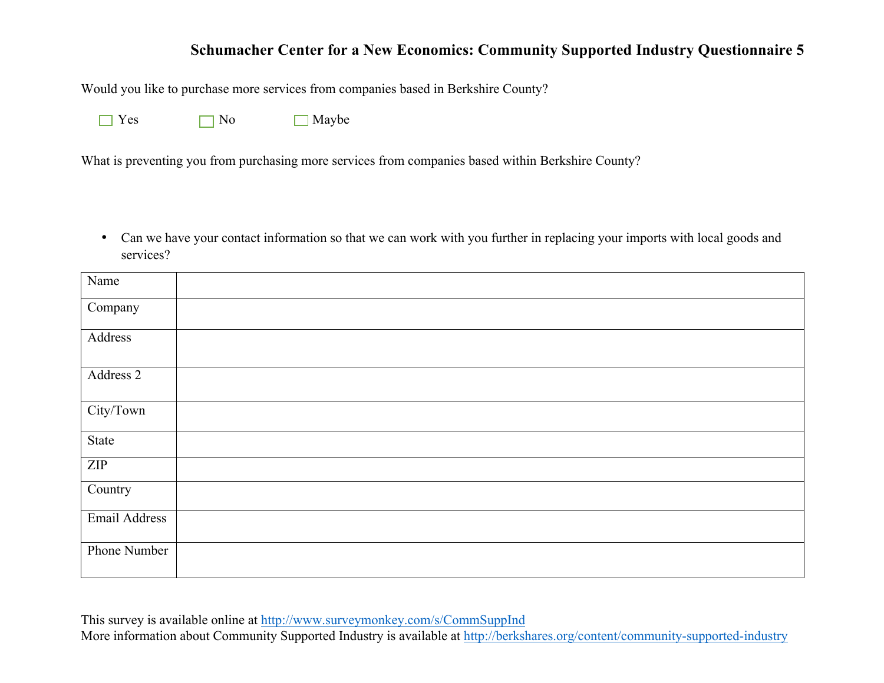Would you like to purchase more services from companies based in Berkshire County?

No Maybe

What is preventing you from purchasing more services from companies based within Berkshire County?

• Can we have your contact information so that we can work with you further in replacing your imports with local goods and services?

| Name          |  |
|---------------|--|
| Company       |  |
| Address       |  |
| Address 2     |  |
| City/Town     |  |
| State         |  |
| ZIP           |  |
| Country       |  |
| Email Address |  |
| Phone Number  |  |